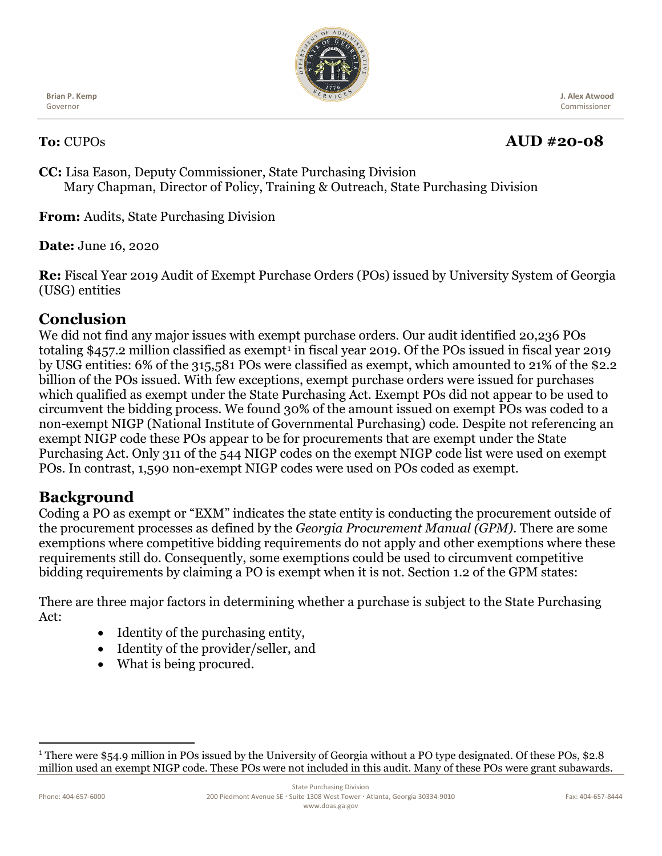

**Brian P. Kemp**  Governor

 **J. Alex Atwood** Commissioner

# **To:** CUPOs **AUD #20-08**

**CC:** Lisa Eason, Deputy Commissioner, State Purchasing Division Mary Chapman, Director of Policy, Training & Outreach, State Purchasing Division

**From:** Audits, State Purchasing Division

**Date:** June 16, 2020

**Re:** Fiscal Year 2019 Audit of Exempt Purchase Orders (POs) issued by University System of Georgia (USG) entities

# **Conclusion**

We did not find any major issues with exempt purchase orders. Our audit identified 20,236 POs totaling \$457.2 million classified as exempt<sup>[1](#page-0-0)</sup> in fiscal year 2019. Of the POs issued in fiscal year 2019 by USG entities: 6% of the 315,581 POs were classified as exempt, which amounted to 21% of the \$2.2 billion of the POs issued. With few exceptions, exempt purchase orders were issued for purchases which qualified as exempt under the State Purchasing Act. Exempt POs did not appear to be used to circumvent the bidding process. We found 30% of the amount issued on exempt POs was coded to a non-exempt NIGP (National Institute of Governmental Purchasing) code. Despite not referencing an exempt NIGP code these POs appear to be for procurements that are exempt under the State Purchasing Act. Only 311 of the 544 NIGP codes on the exempt NIGP code list were used on exempt POs. In contrast, 1,590 non-exempt NIGP codes were used on POs coded as exempt.

# **Background**

Coding a PO as exempt or "EXM" indicates the state entity is conducting the procurement outside of the procurement processes as defined by the *Georgia Procurement Manual (GPM).* There are some exemptions where competitive bidding requirements do not apply and other exemptions where these requirements still do. Consequently, some exemptions could be used to circumvent competitive bidding requirements by claiming a PO is exempt when it is not. Section 1.2 of the GPM states:

There are three major factors in determining whether a purchase is subject to the State Purchasing Act:

- Identity of the purchasing entity,
- Identity of the provider/seller, and
- What is being procured.

<span id="page-0-0"></span><sup>&</sup>lt;sup>1</sup> There were \$54.9 million in POs issued by the University of Georgia without a PO type designated. Of these POs, \$2.8 million used an exempt NIGP code. These POs were not included in this audit. Many of these POs were grant subawards.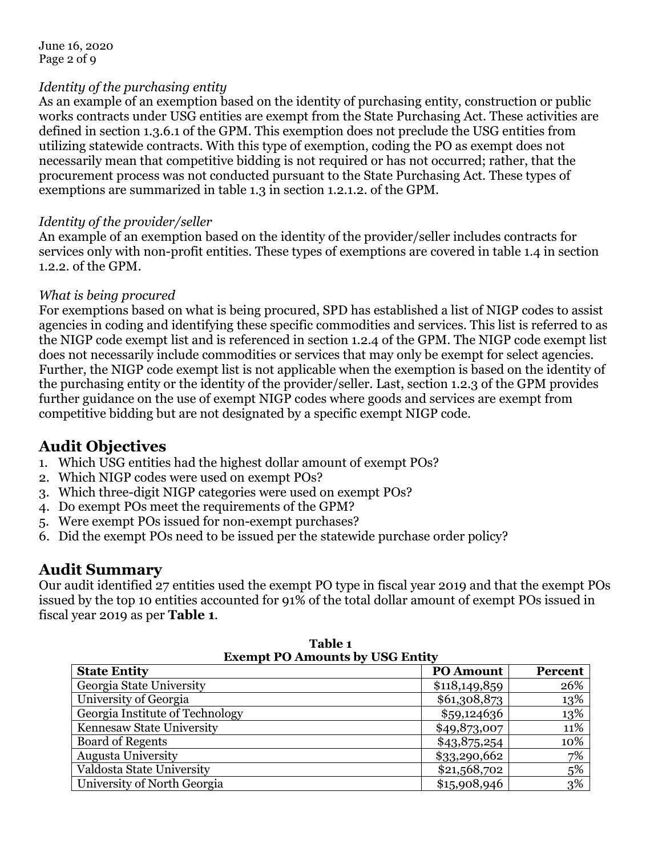#### *Identity of the purchasing entity*

As an example of an exemption based on the identity of purchasing entity, construction or public works contracts under USG entities are exempt from the State Purchasing Act. These activities are defined in section 1.3.6.1 of the GPM. This exemption does not preclude the USG entities from utilizing statewide contracts. With this type of exemption, coding the PO as exempt does not necessarily mean that competitive bidding is not required or has not occurred; rather, that the procurement process was not conducted pursuant to the State Purchasing Act. These types of exemptions are summarized in table 1.3 in section 1.2.1.2. of the GPM.

#### *Identity of the provider/seller*

An example of an exemption based on the identity of the provider/seller includes contracts for services only with non-profit entities. These types of exemptions are covered in table 1.4 in section 1.2.2. of the GPM.

#### *What is being procured*

For exemptions based on what is being procured, SPD has established a list of NIGP codes to assist agencies in coding and identifying these specific commodities and services. This list is referred to as the NIGP code exempt list and is referenced in section 1.2.4 of the GPM. The NIGP code exempt list does not necessarily include commodities or services that may only be exempt for select agencies. Further, the NIGP code exempt list is not applicable when the exemption is based on the identity of the purchasing entity or the identity of the provider/seller. Last, section 1.2.3 of the GPM provides further guidance on the use of exempt NIGP codes where goods and services are exempt from competitive bidding but are not designated by a specific exempt NIGP code.

## **Audit Objectives**

- 1. Which USG entities had the highest dollar amount of exempt POs?
- 2. Which NIGP codes were used on exempt POs?
- 3. Which three-digit NIGP categories were used on exempt POs?
- 4. Do exempt POs meet the requirements of the GPM?
- 5. Were exempt POs issued for non-exempt purchases?
- 6. Did the exempt POs need to be issued per the statewide purchase order policy?

## **Audit Summary**

Our audit identified 27 entities used the exempt PO type in fiscal year 2019 and that the exempt POs issued by the top 10 entities accounted for 91% of the total dollar amount of exempt POs issued in fiscal year 2019 as per **Table 1**.

| <b>Exempt PO Amounts by USG Entity</b> |                  |         |  |
|----------------------------------------|------------------|---------|--|
| <b>State Entity</b>                    | <b>PO Amount</b> | Percent |  |
| Georgia State University               | \$118,149,859    | 26%     |  |
| University of Georgia                  | \$61,308,873     | 13%     |  |
| Georgia Institute of Technology        | \$59,124636      | 13%     |  |
| Kennesaw State University              | \$49,873,007     | 11%     |  |
| <b>Board of Regents</b>                | \$43,875,254     | 10%     |  |
| <b>Augusta University</b>              | \$33,290,662     | 7%      |  |
| Valdosta State University              | \$21,568,702     | 5%      |  |
| University of North Georgia            | \$15,908,946     | 3%      |  |

**Table 1 Exempt PO Amounts by USG Entity**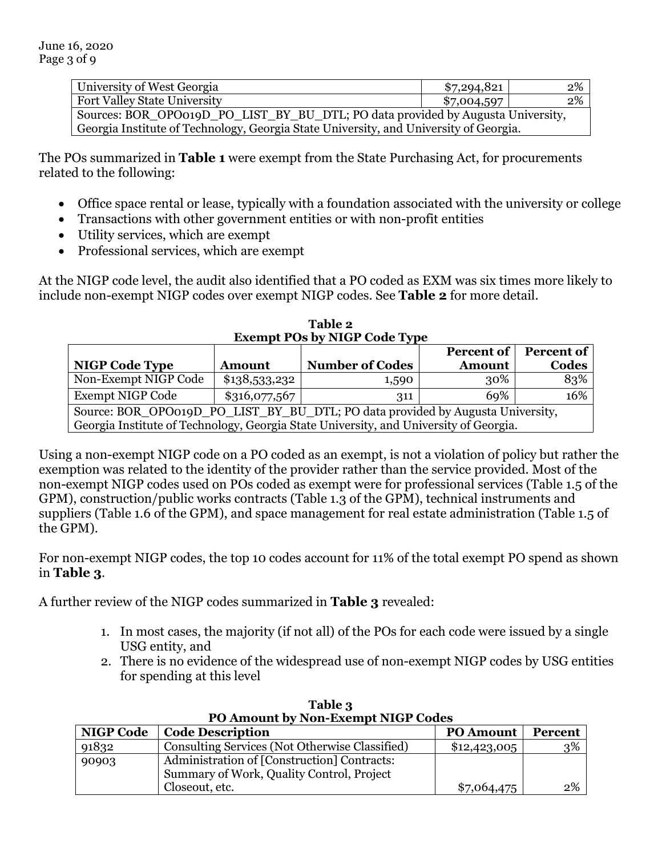| University of West Georgia                                                            | \$7,294,821 | 2% |
|---------------------------------------------------------------------------------------|-------------|----|
| <b>Fort Valley State University</b>                                                   | \$7,004,597 | 2% |
| Sources: BOR_OPO019D_PO_LIST_BY_BU_DTL; PO data provided by Augusta University,       |             |    |
| Georgia Institute of Technology, Georgia State University, and University of Georgia. |             |    |

The POs summarized in **Table 1** were exempt from the State Purchasing Act, for procurements related to the following:

- Office space rental or lease, typically with a foundation associated with the university or college
- Transactions with other government entities or with non-profit entities
- Utility services, which are exempt
- Professional services, which are exempt

At the NIGP code level, the audit also identified that a PO coded as EXM was six times more likely to include non-exempt NIGP codes over exempt NIGP codes. See **Table 2** for more detail.

| <b>Exempt POs by NIGP Code Type</b>                                                   |                                      |                        |               |       |  |  |
|---------------------------------------------------------------------------------------|--------------------------------------|------------------------|---------------|-------|--|--|
| Percent of<br>Percent of                                                              |                                      |                        |               |       |  |  |
| <b>NIGP Code Type</b>                                                                 | <b>Amount</b>                        | <b>Number of Codes</b> | <b>Amount</b> | Codes |  |  |
| Non-Exempt NIGP Code                                                                  | \$138,533,232                        | 1,590                  | 30%           | 83%   |  |  |
| Exempt NIGP Code                                                                      | $\$316,077,567$<br>69%<br>16%<br>311 |                        |               |       |  |  |
| Source: BOR_OPO019D_PO_LIST_BY_BU_DTL; PO data provided by Augusta University,        |                                      |                        |               |       |  |  |
| Georgia Institute of Technology, Georgia State University, and University of Georgia. |                                      |                        |               |       |  |  |

**Table 2**

Using a non-exempt NIGP code on a PO coded as an exempt, is not a violation of policy but rather the exemption was related to the identity of the provider rather than the service provided. Most of the non-exempt NIGP codes used on POs coded as exempt were for professional services (Table 1.5 of the GPM), construction/public works contracts (Table 1.3 of the GPM), technical instruments and suppliers (Table 1.6 of the GPM), and space management for real estate administration (Table 1.5 of the GPM).

For non-exempt NIGP codes, the top 10 codes account for 11% of the total exempt PO spend as shown in **Table 3**.

A further review of the NIGP codes summarized in **Table 3** revealed:

- 1. In most cases, the majority (if not all) of the POs for each code were issued by a single USG entity, and
- 2. There is no evidence of the widespread use of non-exempt NIGP codes by USG entities for spending at this level

| TV Allioulit by Non-Exempt Night Coues |                                                                                          |                  |         |  |
|----------------------------------------|------------------------------------------------------------------------------------------|------------------|---------|--|
| <b>NIGP Code</b>                       | <b>Code Description</b>                                                                  | <b>PO Amount</b> | Percent |  |
| 91832                                  | Consulting Services (Not Otherwise Classified)                                           | \$12,423,005     | 3%      |  |
| 90903                                  | Administration of [Construction] Contracts:<br>Summary of Work, Quality Control, Project |                  |         |  |
|                                        | Closeout, etc.                                                                           | \$7,064,475      | 2%      |  |

**Table 3 PO Amount by Non-Exempt NIGP Codes**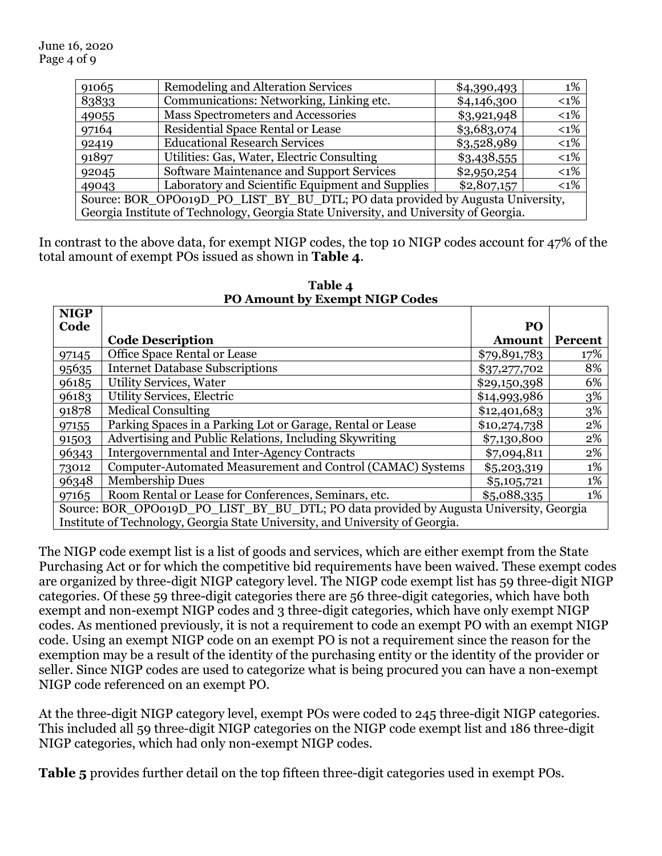| 91065                                                                                 | <b>Remodeling and Alteration Services</b>        | \$4,390,493 | 1%      |
|---------------------------------------------------------------------------------------|--------------------------------------------------|-------------|---------|
| 83833                                                                                 | Communications: Networking, Linking etc.         | \$4,146,300 | $< 1\%$ |
| 49055                                                                                 | Mass Spectrometers and Accessories               | \$3,921,948 | $< 1\%$ |
| 97164                                                                                 | Residential Space Rental or Lease                | \$3,683,074 | $< 1\%$ |
| 92419                                                                                 | <b>Educational Research Services</b>             | \$3,528,989 | $<1\%$  |
| 91897                                                                                 | Utilities: Gas, Water, Electric Consulting       | \$3,438,555 | $<1\%$  |
| 92045                                                                                 | Software Maintenance and Support Services        | \$2,950,254 | $< 1\%$ |
| 49043                                                                                 | Laboratory and Scientific Equipment and Supplies | \$2,807,157 | $< 1\%$ |
| Source: BOR_OPO019D_PO_LIST_BY_BU_DTL; PO data provided by Augusta University,        |                                                  |             |         |
| Georgia Institute of Technology, Georgia State University, and University of Georgia. |                                                  |             |         |

In contrast to the above data, for exempt NIGP codes, the top 10 NIGP codes account for 47% of the total amount of exempt POs issued as shown in **Table 4**.

| <b>NIGP</b> |                                                                                        |                |         |
|-------------|----------------------------------------------------------------------------------------|----------------|---------|
| Code        |                                                                                        | P <sub>O</sub> |         |
|             | <b>Code Description</b>                                                                | <b>Amount</b>  | Percent |
| 97145       | Office Space Rental or Lease                                                           | \$79,891,783   | 17%     |
| 95635       | <b>Internet Database Subscriptions</b>                                                 | \$37,277,702   | 8%      |
| 96185       | <b>Utility Services, Water</b>                                                         | \$29,150,398   | 6%      |
| 96183       | Utility Services, Electric                                                             | \$14,993,986   | 3%      |
| 91878       | <b>Medical Consulting</b>                                                              | \$12,401,683   | 3%      |
| 97155       | Parking Spaces in a Parking Lot or Garage, Rental or Lease                             | \$10,274,738   | 2%      |
| 91503       | Advertising and Public Relations, Including Skywriting                                 | \$7,130,800    | 2%      |
| 96343       | <b>Intergovernmental and Inter-Agency Contracts</b>                                    | \$7,094,811    | 2%      |
| 73012       | Computer-Automated Measurement and Control (CAMAC) Systems                             | \$5,203,319    | 1%      |
| 96348       | <b>Membership Dues</b>                                                                 | \$5,105,721    | 1%      |
| 97165       | Room Rental or Lease for Conferences, Seminars, etc.                                   | \$5,088,335    | 1%      |
|             | Source: BOR_OPO019D_PO_LIST_BY_BU_DTL; PO data provided by Augusta University, Georgia |                |         |
|             | Institute of Technology, Georgia State University, and University of Georgia.          |                |         |

**Table 4 PO Amount by Exempt NIGP Codes**

The NIGP code exempt list is a list of goods and services, which are either exempt from the State Purchasing Act or for which the competitive bid requirements have been waived. These exempt codes are organized by three-digit NIGP category level. The NIGP code exempt list has 59 three-digit NIGP categories. Of these 59 three-digit categories there are 56 three-digit categories, which have both exempt and non-exempt NIGP codes and 3 three-digit categories, which have only exempt NIGP codes. As mentioned previously, it is not a requirement to code an exempt PO with an exempt NIGP code. Using an exempt NIGP code on an exempt PO is not a requirement since the reason for the exemption may be a result of the identity of the purchasing entity or the identity of the provider or seller. Since NIGP codes are used to categorize what is being procured you can have a non-exempt NIGP code referenced on an exempt PO.

At the three-digit NIGP category level, exempt POs were coded to 245 three-digit NIGP categories. This included all 59 three-digit NIGP categories on the NIGP code exempt list and 186 three-digit NIGP categories, which had only non-exempt NIGP codes.

**Table 5** provides further detail on the top fifteen three-digit categories used in exempt POs.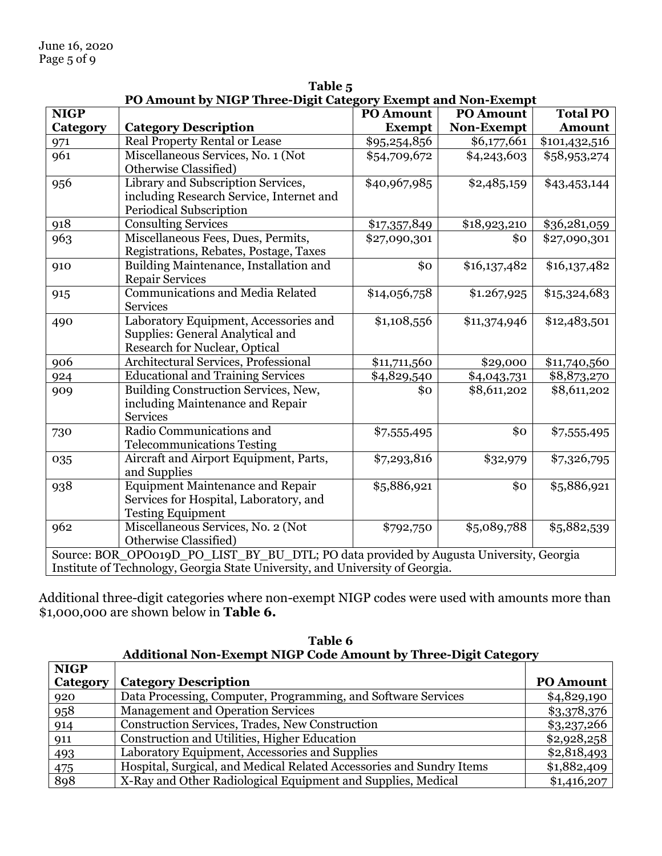| PO Amount by NIGP Three-Digit Category Exempt and Non-Exempt                                                                                                            |                                                                                                                   |                  |                  |                 |
|-------------------------------------------------------------------------------------------------------------------------------------------------------------------------|-------------------------------------------------------------------------------------------------------------------|------------------|------------------|-----------------|
| <b>NIGP</b>                                                                                                                                                             |                                                                                                                   | <b>PO Amount</b> | <b>PO Amount</b> | <b>Total PO</b> |
| Category                                                                                                                                                                | <b>Category Description</b>                                                                                       | <b>Exempt</b>    | Non-Exempt       | <b>Amount</b>   |
| 971                                                                                                                                                                     | Real Property Rental or Lease                                                                                     | \$95,254,856     | \$6,177,661      | \$101,432,516   |
| 961                                                                                                                                                                     | Miscellaneous Services, No. 1 (Not<br>Otherwise Classified)                                                       | \$54,709,672     | \$4,243,603      | \$58,953,274    |
| 956                                                                                                                                                                     | Library and Subscription Services,<br>including Research Service, Internet and<br>Periodical Subscription         | \$40,967,985     | \$2,485,159      | \$43,453,144    |
| 918                                                                                                                                                                     | <b>Consulting Services</b>                                                                                        | \$17,357,849     | \$18,923,210     | \$36,281,059    |
| 963                                                                                                                                                                     | Miscellaneous Fees, Dues, Permits,<br>Registrations, Rebates, Postage, Taxes                                      | \$27,090,301     | \$0              | \$27,090,301    |
| 910                                                                                                                                                                     | Building Maintenance, Installation and<br><b>Repair Services</b>                                                  | \$0              | \$16,137,482     | \$16,137,482    |
| 915                                                                                                                                                                     | <b>Communications and Media Related</b><br><b>Services</b>                                                        | \$14,056,758     | \$1.267,925      | \$15,324,683    |
| 490                                                                                                                                                                     | Laboratory Equipment, Accessories and<br>Supplies: General Analytical and<br><b>Research for Nuclear, Optical</b> | \$1,108,556      | \$11,374,946     | \$12,483,501    |
| 906                                                                                                                                                                     | Architectural Services, Professional                                                                              | \$11,711,560     | \$29,000         | \$11,740,560    |
| 924                                                                                                                                                                     | <b>Educational and Training Services</b>                                                                          | \$4,829,540      | \$4,043,731      | \$8,873,270     |
| 909                                                                                                                                                                     | Building Construction Services, New,<br>including Maintenance and Repair<br><b>Services</b>                       | \$0              | \$8,611,202      | \$8,611,202     |
| 730                                                                                                                                                                     | Radio Communications and<br><b>Telecommunications Testing</b>                                                     | \$7,555,495      | \$0              | \$7,555,495     |
| 035                                                                                                                                                                     | Aircraft and Airport Equipment, Parts,<br>and Supplies                                                            | \$7,293,816      | \$32,979         | \$7,326,795     |
| 938                                                                                                                                                                     | <b>Equipment Maintenance and Repair</b><br>Services for Hospital, Laboratory, and<br><b>Testing Equipment</b>     | \$5,886,921      | \$0              | \$5,886,921     |
| 962                                                                                                                                                                     | Miscellaneous Services, No. 2 (Not<br>Otherwise Classified)                                                       | \$792,750        | \$5,089,788      | \$5,882,539     |
| Source: BOR_OPO019D_PO_LIST_BY_BU_DTL; PO data provided by Augusta University, Georgia<br>Institute of Technology, Georgia State University, and University of Georgia. |                                                                                                                   |                  |                  |                 |

**Table 5**

Additional three-digit categories where non-exempt NIGP codes were used with amounts more than \$1,000,000 are shown below in **Table 6.**

| <b>Additional Non-Exempt NIGP Code Amount by Three-Digit Category</b> |                                                                      |                  |  |
|-----------------------------------------------------------------------|----------------------------------------------------------------------|------------------|--|
| <b>NIGP</b>                                                           |                                                                      |                  |  |
| Category                                                              | <b>Category Description</b>                                          | <b>PO Amount</b> |  |
| 920                                                                   | Data Processing, Computer, Programming, and Software Services        | \$4,829,190      |  |
| 958                                                                   | <b>Management and Operation Services</b>                             | \$3,378,376      |  |
| 914                                                                   | Construction Services, Trades, New Construction                      | \$3,237,266      |  |
| 911                                                                   | Construction and Utilities, Higher Education                         | \$2,928,258      |  |
| 493                                                                   | Laboratory Equipment, Accessories and Supplies                       | \$2,818,493      |  |
| 475                                                                   | Hospital, Surgical, and Medical Related Accessories and Sundry Items | \$1,882,409      |  |
| 898                                                                   | X-Ray and Other Radiological Equipment and Supplies, Medical         | \$1,416,207      |  |

**Table 6**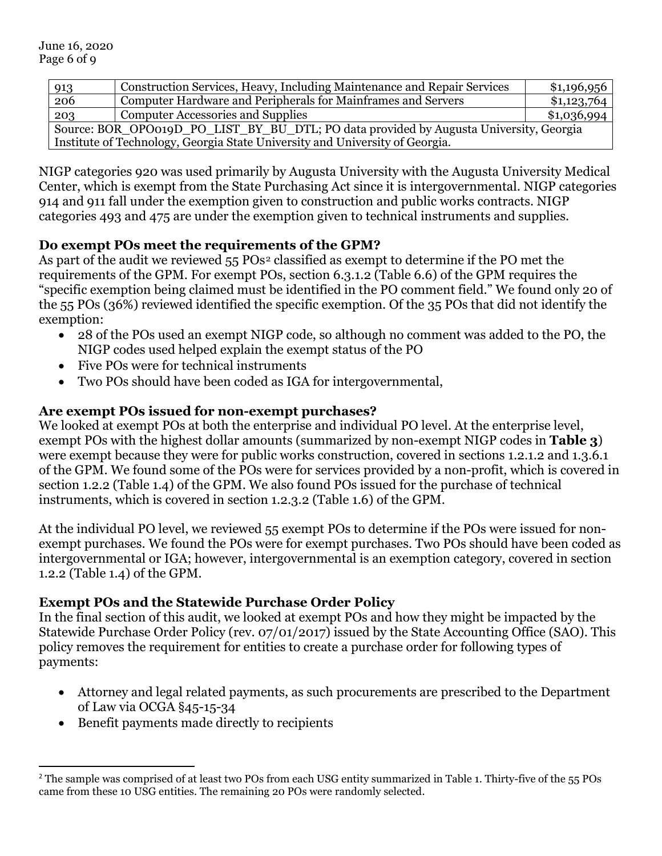| 913                                                                                    | Construction Services, Heavy, Including Maintenance and Repair Services      | \$1,196,956 |  |
|----------------------------------------------------------------------------------------|------------------------------------------------------------------------------|-------------|--|
| 206                                                                                    | Computer Hardware and Peripherals for Mainframes and Servers                 | \$1,123,764 |  |
| 203                                                                                    | <b>Computer Accessories and Supplies</b>                                     | \$1,036,994 |  |
| Source: BOR_OPO019D_PO_LIST_BY_BU_DTL; PO data provided by Augusta University, Georgia |                                                                              |             |  |
|                                                                                        | Institute of Technology, Georgia State University and University of Georgia. |             |  |

NIGP categories 920 was used primarily by Augusta University with the Augusta University Medical Center, which is exempt from the State Purchasing Act since it is intergovernmental. NIGP categories 914 and 911 fall under the exemption given to construction and public works contracts. NIGP categories 493 and 475 are under the exemption given to technical instruments and supplies.

## **Do exempt POs meet the requirements of the GPM?**

As part of the audit we reviewed 55 POs<sup>[2](#page-5-0)</sup> classified as exempt to determine if the PO met the requirements of the GPM. For exempt POs, section 6.3.1.2 (Table 6.6) of the GPM requires the "specific exemption being claimed must be identified in the PO comment field." We found only 20 of the 55 POs (36%) reviewed identified the specific exemption. Of the 35 POs that did not identify the exemption:

- 28 of the POs used an exempt NIGP code, so although no comment was added to the PO, the NIGP codes used helped explain the exempt status of the PO
- Five POs were for technical instruments
- Two POs should have been coded as IGA for intergovernmental,

## **Are exempt POs issued for non-exempt purchases?**

We looked at exempt POs at both the enterprise and individual PO level. At the enterprise level, exempt POs with the highest dollar amounts (summarized by non-exempt NIGP codes in **Table 3**) were exempt because they were for public works construction, covered in sections 1.2.1.2 and 1.3.6.1 of the GPM. We found some of the POs were for services provided by a non-profit, which is covered in section 1.2.2 (Table 1.4) of the GPM. We also found POs issued for the purchase of technical instruments, which is covered in section 1.2.3.2 (Table 1.6) of the GPM.

At the individual PO level, we reviewed 55 exempt POs to determine if the POs were issued for nonexempt purchases. We found the POs were for exempt purchases. Two POs should have been coded as intergovernmental or IGA; however, intergovernmental is an exemption category, covered in section 1.2.2 (Table 1.4) of the GPM.

## **Exempt POs and the Statewide Purchase Order Policy**

In the final section of this audit, we looked at exempt POs and how they might be impacted by the Statewide Purchase Order Policy (rev. 07/01/2017) issued by the State Accounting Office (SAO). This policy removes the requirement for entities to create a purchase order for following types of payments:

- Attorney and legal related payments, as such procurements are prescribed to the Department of Law via OCGA §45-15-34
- Benefit payments made directly to recipients

<span id="page-5-0"></span><sup>&</sup>lt;sup>2</sup> The sample was comprised of at least two POs from each USG entity summarized in Table 1. Thirty-five of the 55 POs came from these 10 USG entities. The remaining 20 POs were randomly selected.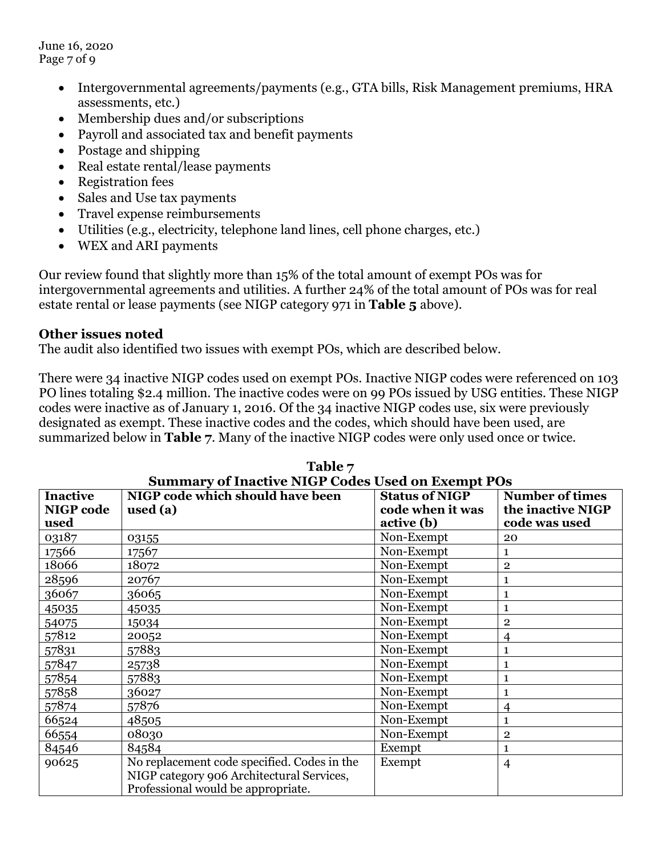June 16, 2020 Page 7 of 9

- Intergovernmental agreements/payments (e.g., GTA bills, Risk Management premiums, HRA assessments, etc.)
- Membership dues and/or subscriptions
- Payroll and associated tax and benefit payments
- Postage and shipping
- Real estate rental/lease payments
- Registration fees
- Sales and Use tax payments
- Travel expense reimbursements
- Utilities (e.g., electricity, telephone land lines, cell phone charges, etc.)
- WEX and ARI payments

Our review found that slightly more than 15% of the total amount of exempt POs was for intergovernmental agreements and utilities. A further 24% of the total amount of POs was for real estate rental or lease payments (see NIGP category 971 in **Table 5** above).

### **Other issues noted**

The audit also identified two issues with exempt POs, which are described below.

There were 34 inactive NIGP codes used on exempt POs. Inactive NIGP codes were referenced on 103 PO lines totaling \$2.4 million. The inactive codes were on 99 POs issued by USG entities. These NIGP codes were inactive as of January 1, 2016. Of the 34 inactive NIGP codes use, six were previously designated as exempt. These inactive codes and the codes, which should have been used, are summarized below in **Table 7**. Many of the inactive NIGP codes were only used once or twice.

|                  | <b>Summary of Inactive NIGP Codes Used on Exempt POs</b> |                       |                        |  |  |
|------------------|----------------------------------------------------------|-----------------------|------------------------|--|--|
| <b>Inactive</b>  | NIGP code which should have been                         | <b>Status of NIGP</b> | <b>Number of times</b> |  |  |
| <b>NIGP</b> code | used $(a)$                                               | code when it was      | the inactive NIGP      |  |  |
| used             |                                                          | active (b)            | code was used          |  |  |
| 03187            | 03155                                                    | Non-Exempt            | 20                     |  |  |
| 17566            | 17567                                                    | Non-Exempt            | 1                      |  |  |
| 18066            | 18072                                                    | Non-Exempt            | $\bf 2$                |  |  |
| 28596            | 20767                                                    | Non-Exempt            | $\mathbf{1}$           |  |  |
| 36067            | 36065                                                    | Non-Exempt            | 1                      |  |  |
| 45035            | 45035                                                    | Non-Exempt            | $\mathbf{1}$           |  |  |
| 54075            | 15034                                                    | Non-Exempt            | $\overline{2}$         |  |  |
| 57812            | 20052                                                    | Non-Exempt            | 4                      |  |  |
| 57831            | 57883                                                    | Non-Exempt            | 1                      |  |  |
| 57847            | 25738                                                    | Non-Exempt            | 1                      |  |  |
| 57854            | 57883                                                    | Non-Exempt            | 1                      |  |  |
| 57858            | 36027                                                    | Non-Exempt            | $\mathbf 1$            |  |  |
| 57874            | 57876                                                    | Non-Exempt            | $\overline{4}$         |  |  |
| 66524            | 48505                                                    | Non-Exempt            | 1                      |  |  |
| 66554            | 08030                                                    | Non-Exempt            | $\overline{2}$         |  |  |
| 84546            | 84584                                                    | Exempt                | $\mathbf{1}$           |  |  |
| 90625            | No replacement code specified. Codes in the              | Exempt                | $\overline{4}$         |  |  |
|                  | NIGP category 906 Architectural Services,                |                       |                        |  |  |
|                  | Professional would be appropriate.                       |                       |                        |  |  |

| Table 7                                           |
|---------------------------------------------------|
| Summary of Inactive NIGP Codes Used on Exempt POs |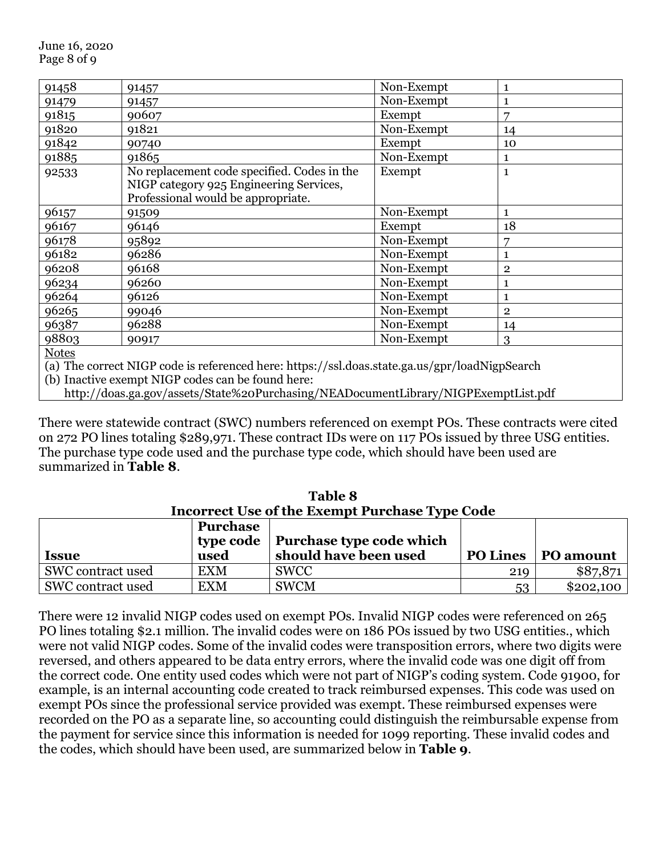| 91458                                        | 91457                                                                                                                                                                                                                                                                                                                              | Non-Exempt | $\mathbf{1}$ |
|----------------------------------------------|------------------------------------------------------------------------------------------------------------------------------------------------------------------------------------------------------------------------------------------------------------------------------------------------------------------------------------|------------|--------------|
| 91479                                        | 91457                                                                                                                                                                                                                                                                                                                              | Non-Exempt | $\mathbf{1}$ |
| 91815                                        | 90607                                                                                                                                                                                                                                                                                                                              | Exempt     | 7            |
| 91820                                        | 91821                                                                                                                                                                                                                                                                                                                              | Non-Exempt | 14           |
| 91842                                        | 90740                                                                                                                                                                                                                                                                                                                              | Exempt     | 10           |
| 91885                                        | 91865                                                                                                                                                                                                                                                                                                                              | Non-Exempt | $\mathbf{1}$ |
| 92533                                        | No replacement code specified. Codes in the<br>NIGP category 925 Engineering Services,<br>Professional would be appropriate.                                                                                                                                                                                                       | Exempt     | $\mathbf{1}$ |
| 96157                                        | 91509                                                                                                                                                                                                                                                                                                                              | Non-Exempt | $\mathbf{1}$ |
| 96167                                        | 96146                                                                                                                                                                                                                                                                                                                              | Exempt     | 18           |
| 96178                                        | 95892                                                                                                                                                                                                                                                                                                                              | Non-Exempt | 7            |
| 96182                                        | 96286                                                                                                                                                                                                                                                                                                                              | Non-Exempt | $\mathbf{1}$ |
| 96208                                        | 96168                                                                                                                                                                                                                                                                                                                              | Non-Exempt | $\mathbf{2}$ |
| 96234                                        | 96260                                                                                                                                                                                                                                                                                                                              | Non-Exempt | 1            |
| 96264                                        | 96126                                                                                                                                                                                                                                                                                                                              | Non-Exempt | $\mathbf{1}$ |
| 96265                                        | 99046                                                                                                                                                                                                                                                                                                                              | Non-Exempt | $\mathbf{2}$ |
| 96387                                        | 96288                                                                                                                                                                                                                                                                                                                              | Non-Exempt | 14           |
| 98803                                        | 90917                                                                                                                                                                                                                                                                                                                              | Non-Exempt | 3            |
| <b>Notes</b>                                 |                                                                                                                                                                                                                                                                                                                                    |            |              |
| $\epsilon \rightarrow \epsilon \overline{m}$ | $\mathbf{1}$ $\mathbf{1}$ $\mathbf{2}$ $\mathbf{3}$ $\mathbf{4}$ $\mathbf{1}$ $\mathbf{1}$ $\mathbf{1}$ $\mathbf{1}$ $\mathbf{1}$ $\mathbf{1}$ $\mathbf{1}$ $\mathbf{1}$ $\mathbf{1}$ $\mathbf{1}$ $\mathbf{1}$ $\mathbf{1}$ $\mathbf{1}$ $\mathbf{1}$ $\mathbf{1}$ $\mathbf{1}$ $\mathbf{1}$ $\mathbf{1}$ $\mathbf{1}$ $\mathbf{$ |            |              |

(a) The correct NIGP code is referenced here: https://ssl.doas.state.ga.us/gpr/loadNigpSearch

(b) Inactive exempt NIGP codes can be found here:

http://doas.ga.gov/assets/State%20Purchasing/NEADocumentLibrary/NIGPExemptList.pdf

There were statewide contract (SWC) numbers referenced on exempt POs. These contracts were cited on 272 PO lines totaling \$289,971. These contract IDs were on 117 POs issued by three USG entities. The purchase type code used and the purchase type code, which should have been used are summarized in **Table 8**.

| <b>Incorrect Use of the Exempt Purchase Type Code</b> |            |                                      |                 |           |  |  |
|-------------------------------------------------------|------------|--------------------------------------|-----------------|-----------|--|--|
|                                                       | Purchase   | type code   Purchase type code which |                 |           |  |  |
| <b>Issue</b>                                          | used       | should have been used                | <b>PO Lines</b> | PO amount |  |  |
| SWC contract used                                     | EXM        | <b>SWCC</b>                          | 219             | \$87,871  |  |  |
| SWC contract used                                     | <b>EXM</b> | <b>SWCM</b>                          | 53              | \$202,100 |  |  |

**Table 8**

There were 12 invalid NIGP codes used on exempt POs. Invalid NIGP codes were referenced on 265 PO lines totaling \$2.1 million. The invalid codes were on 186 POs issued by two USG entities., which were not valid NIGP codes. Some of the invalid codes were transposition errors, where two digits were reversed, and others appeared to be data entry errors, where the invalid code was one digit off from the correct code. One entity used codes which were not part of NIGP's coding system. Code 91900, for example, is an internal accounting code created to track reimbursed expenses. This code was used on exempt POs since the professional service provided was exempt. These reimbursed expenses were recorded on the PO as a separate line, so accounting could distinguish the reimbursable expense from the payment for service since this information is needed for 1099 reporting. These invalid codes and the codes, which should have been used, are summarized below in **Table 9**.